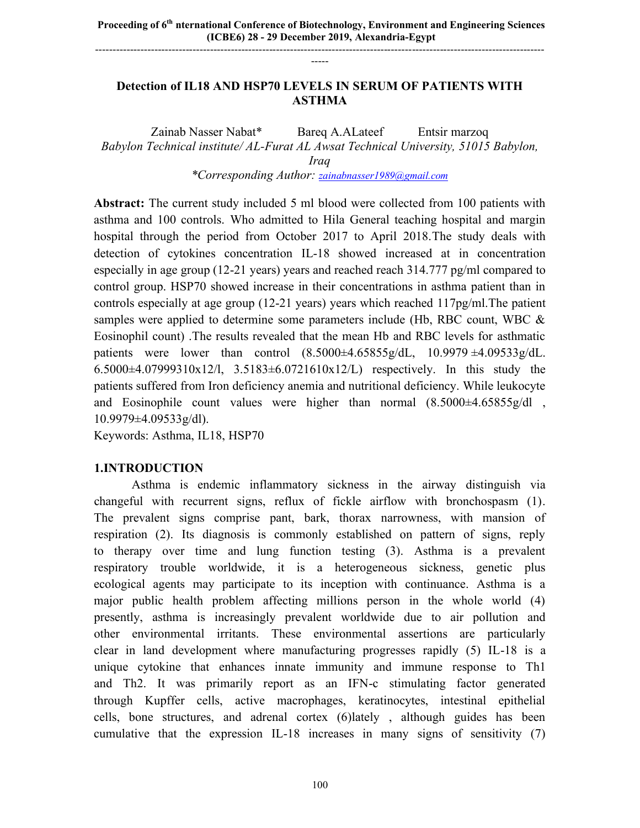### **Detection of IL18 AND HSP70 LEVELS IN SERUM OF PATIENTS WITH ASTHMA**

-----

Zainab Nasser Nabat\* Bareq A.ALateef Entsir marzoq *Babylon Technical institute/ AL-Furat AL Awsat Technical University, 51015 Babylon, Iraq*

*\*Corresponding Author: zainabnasser1989@gmail.com*

**Abstract:** The current study included 5 ml blood were collected from 100 patients with asthma and 100 controls. Who admitted to Hila General teaching hospital and margin hospital through the period from October 2017 to April 2018.The study deals with detection of cytokines concentration IL-18 showed increased at in concentration especially in age group (12-21 years) years and reached reach 314.777 pg/ml compared to control group. HSP70 showed increase in their concentrations in asthma patient than in controls especially at age group (12-21 years) years which reached 117pg/ml.The patient samples were applied to determine some parameters include (Hb, RBC count, WBC & Eosinophil count) .The results revealed that the mean Hb and RBC levels for asthmatic patients were lower than control  $(8.5000\pm4.65855g/dL, 10.9979\pm4.09533g/dL)$ . 6.5000 $\pm$ 4.07999310x12/l, 3.5183 $\pm$ 6.0721610x12/L) respectively. In this study the patients suffered from Iron deficiency anemia and nutritional deficiency. While leukocyte and Eosinophile count values were higher than normal  $(8.5000\pm4.65855g/dl)$ , 10.9979±4.09533g/dl).

Keywords: Asthma, IL18, HSP70

DOI : doi.org/10.46617/icbe6006

### **1.INTRODUCTION**

Asthma is endemic inflammatory sickness in the airway distinguish via changeful with recurrent signs, reflux of fickle airflow with bronchospasm (1). The prevalent signs comprise pant, bark, thorax narrowness, with mansion of respiration (2). Its diagnosis is commonly established on pattern of signs, reply to therapy over time and lung function testing (3). Asthma is a prevalent respiratory trouble worldwide, it is a heterogeneous sickness, genetic plus ecological agents may participate to its inception with continuance. Asthma is a major public health problem affecting millions person in the whole world (4) presently, asthma is increasingly prevalent worldwide due to air pollution and other environmental irritants. These environmental assertions are particularly clear in land development where manufacturing progresses rapidly (5) IL-18 is a unique cytokine that enhances innate immunity and immune response to Th1 and Th2. It was primarily report as an IFN-c stimulating factor generated through Kupffer cells, active macrophages, keratinocytes, intestinal epithelial cells, bone structures, and adrenal cortex (6)lately , although guides has been cumulative that the expression IL-18 increases in many signs of sensitivity (7)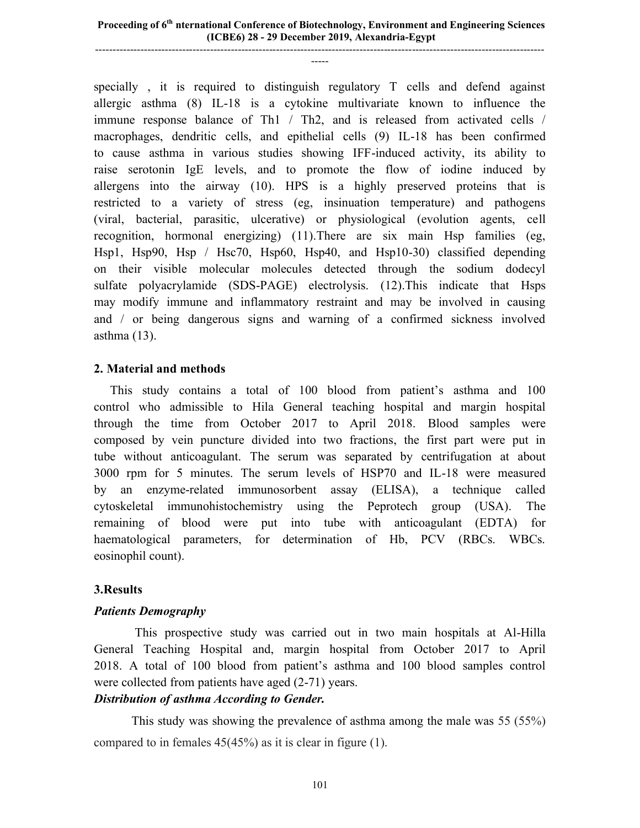specially , it is required to distinguish regulatory T cells and defend against allergic asthma (8) IL-18 is a cytokine multivariate known to influence the immune response balance of Th1 / Th2, and is released from activated cells / macrophages, dendritic cells, and epithelial cells (9) IL-18 has been confirmed to cause asthma in various studies showing IFF-induced activity, its ability to raise serotonin IgE levels, and to promote the flow of iodine induced by allergens into the airway (10). HPS is a highly preserved proteins that is restricted to a variety of stress (eg, insinuation temperature) and pathogens (viral, bacterial, parasitic, ulcerative) or physiological (evolution agents, cell recognition, hormonal energizing) (11).There are six main Hsp families (eg, Hsp1, Hsp90, Hsp / Hsc70, Hsp60, Hsp40, and Hsp10-30) classified depending on their visible molecular molecules detected through the sodium dodecyl sulfate polyacrylamide (SDS-PAGE) electrolysis. (12).This indicate that Hsps may modify immune and inflammatory restraint and may be involved in causing and / or being dangerous signs and warning of a confirmed sickness involved asthma (13).

# **2. Material and methods**

This study contains a total of 100 blood from patient's asthma and 100 control who admissible to Hila General teaching hospital and margin hospital through the time from October 2017 to April 2018. Blood samples were composed by vein puncture divided into two fractions, the first part were put in tube without anticoagulant. The serum was separated by centrifugation at about 3000 rpm for 5 minutes. The serum levels of HSP70 and IL-18 were measured by an enzyme-related immunosorbent assay (ELISA), a technique called cytoskeletal immunohistochemistry using the Peprotech group (USA). The remaining of blood were put into tube with anticoagulant (EDTA) for haematological parameters, for determination of Hb, PCV (RBCs. WBCs. eosinophil count).

# **3.Results**

# *Patients Demography*

This prospective study was carried out in two main hospitals at Al-Hilla General Teaching Hospital and, margin hospital from October 2017 to April 2018. A total of 100 blood from patient's asthma and 100 blood samples control were collected from patients have aged (2-71) years.

# *Distribution of asthma According to Gender.*

This study was showing the prevalence of asthma among the male was 55 (55%) compared to in females 45(45%) as it is clear in figure (1).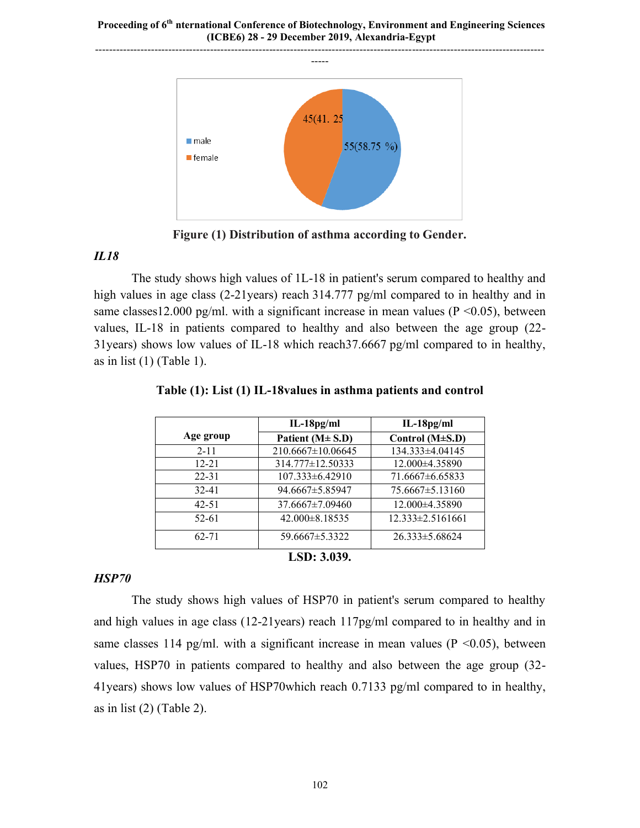

**Figure (1) Distribution of asthma according to Gender.**

# *IL18*

The study shows high values of 1L-18 in patient's serum compared to healthy and high values in age class (2-21years) reach 314.777 pg/ml compared to in healthy and in same classes12.000 pg/ml. with a significant increase in mean values ( $P \le 0.05$ ), between values, IL-18 in patients compared to healthy and also between the age group (22- 31years) shows low values of IL-18 which reach37.6667 pg/ml compared to in healthy, as in list  $(1)$  (Table 1).

|                    | $IL-18pg/ml$          | $IL-18pg/ml$           |  |  |  |
|--------------------|-----------------------|------------------------|--|--|--|
| Age group          | Patient $(M \pm S.D)$ | Control $(M\pm S.D)$   |  |  |  |
| $2 - 11$           | 210.6667±10.06645     | 134.333±4.04145        |  |  |  |
| $12 - 21$          | 314.777±12.50333      | 12.000±4.35890         |  |  |  |
| $22 - 31$          | $107.333\pm 6.42910$  | $71.6667\pm 6.65833$   |  |  |  |
| $32 - 41$          | 94.6667±5.85947       | $75.6667 \pm 5.13160$  |  |  |  |
| $42 - 51$          | 37.6667±7.09460       | 12.000±4.35890         |  |  |  |
| $52 - 61$          | 42.000±8.18535        | $12.333 \pm 2.5161661$ |  |  |  |
| $62 - 71$          | 59.6667±5.3322        | $26.333 \pm 5.68624$   |  |  |  |
| <b>LSD: 3.039.</b> |                       |                        |  |  |  |

| Table (1): List (1) IL-18values in asthma patients and control |  |  |  |  |  |
|----------------------------------------------------------------|--|--|--|--|--|
|----------------------------------------------------------------|--|--|--|--|--|

# *HSP70*

The study shows high values of HSP70 in patient's serum compared to healthy and high values in age class (12-21years) reach 117pg/ml compared to in healthy and in same classes 114 pg/ml. with a significant increase in mean values ( $P \le 0.05$ ), between values, HSP70 in patients compared to healthy and also between the age group (32- 41years) shows low values of HSP70which reach 0.7133 pg/ml compared to in healthy, as in list (2) (Table 2).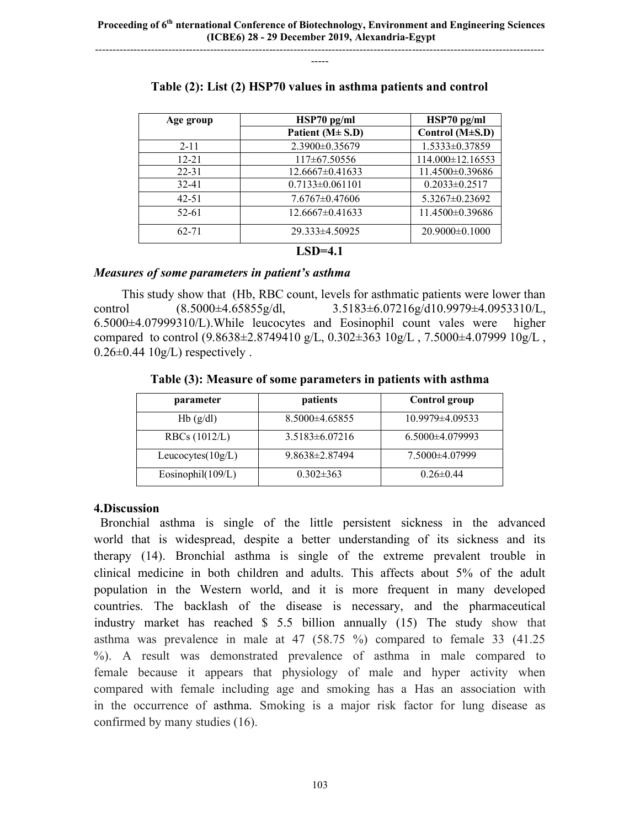--------------------------------------------------------------------------------------------------------------------------------- -----

| Age group            | $HSP70$ pg/ml         | $HSP70$ pg/ml       |  |  |
|----------------------|-----------------------|---------------------|--|--|
|                      | Patient $(M \pm S.D)$ | Control (M±S.D)     |  |  |
| $2 - 11$             | 2.3900±0.35679        | 1.5333±0.37859      |  |  |
| $12 - 21$            | 117±67.50556          | 114.000±12.16553    |  |  |
| $22 - 31$            | $12.6667 \pm 0.41633$ | 11.4500±0.39686     |  |  |
| $32 - 41$            | $0.7133 \pm 0.061101$ | $0.2033 \pm 0.2517$ |  |  |
| $42 - 51$            | $7.6767 \pm 0.47606$  | 5.3267±0.23692      |  |  |
| $52 - 61$            | $12.6667 \pm 0.41633$ | 11.4500±0.39686     |  |  |
| $62 - 71$            | $29.333\pm4.50925$    | $20.9000\pm0.1000$  |  |  |
| $\sim$ $\sim$ $\sim$ |                       |                     |  |  |

### **Table (2): List (2) HSP70 values in asthma patients and control**

#### **LSD=4.1**

#### *Measures of some parameters in patient's asthma*

This study show that (Hb, RBC count, levels for asthmatic patients were lower than control (8.5000±4.65855g/dl, 3.5183±6.07216g/d10.9979±4.0953310/L, 6.5000±4.07999310/L).While leucocytes and Eosinophil count vales were higher compared to control (9.8638±2.8749410 g/L, 0.302±363 10g/L , 7.5000±4.07999 10g/L ,  $0.26\pm0.44$  10g/L) respectively.

**Table (3): Measure of some parameters in patients with asthma**

| parameter            | patients             | Control group       |
|----------------------|----------------------|---------------------|
| Hb(g/dl)             | $8.5000\pm4.65855$   | $10.9979\pm4.09533$ |
| RBCs $(1012/L)$      | $3.5183 \pm 6.07216$ | $6.5000\pm4.079993$ |
| Leucocytes $(10g/L)$ | $9.8638 \pm 2.87494$ | 7.5000±4.07999      |
| Eosinophil(109/L)    | $0.302 \pm 363$      | $0.26 \pm 0.44$     |

### **4.Discussion**

Bronchial asthma is single of the little persistent sickness in the advanced world that is widespread, despite a better understanding of its sickness and its therapy (14). Bronchial asthma is single of the extreme prevalent trouble in clinical medicine in both children and adults. This affects about 5% of the adult population in the Western world, and it is more frequent in many developed countries. The backlash of the disease is necessary, and the pharmaceutical industry market has reached \$ 5.5 billion annually (15) The study show that asthma was prevalence in male at 47 (58.75 %) compared to female 33 (41.25 %). A result was demonstrated prevalence of asthma in male compared to female because it appears that physiology of male and hyper activity when compared with female including age and smoking has a Has an association with in the occurrence of asthma. Smoking is a major risk factor for lung disease as confirmed by many studies (16).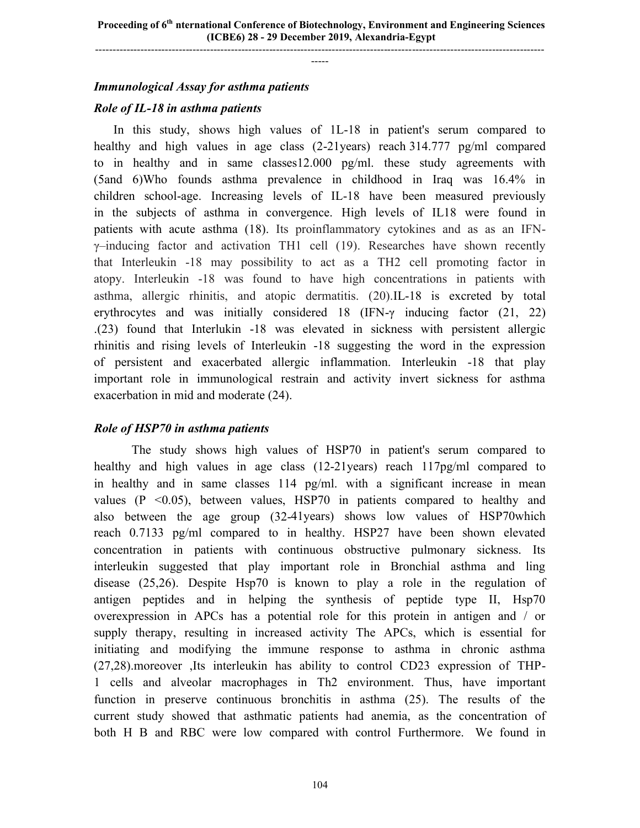### *Immunological Assay for asthma patients*

#### *Role of IL-18 in asthma patients*

 In this study, shows high values of 1L-18 in patient's serum compared to healthy and high values in age class (2-21years) reach 314.777 pg/ml compared to in healthy and in same classes12.000 pg/ml. these study agreements with (5and 6)Who founds asthma prevalence in childhood in Iraq was 16.4% in children school-age. Increasing levels of IL-18 have been measured previously in the subjects of asthma in convergence. High levels of IL18 were found in patients with acute asthma (18). Its proinflammatory cytokines and as as an IFNγ–inducing factor and activation TH1 cell (19). Researches have shown recently that Interleukin -18 may possibility to act as a TH2 cell promoting factor in atopy. Interleukin -18 was found to have high concentrations in patients with asthma, allergic rhinitis, and atopic dermatitis. (20).IL-18 is excreted by total erythrocytes and was initially considered 18 (IFN-γ inducing factor (21, 22) .(23) found that Interlukin -18 was elevated in sickness with persistent allergic rhinitis and rising levels of Interleukin -18 suggesting the word in the expression of persistent and exacerbated allergic inflammation. Interleukin -18 that play important role in immunological restrain and activity invert sickness for asthma exacerbation in mid and moderate (24).

### *Role of HSP70 in asthma patients*

The study shows high values of HSP70 in patient's serum compared to healthy and high values in age class (12-21years) reach 117pg/ml compared to in healthy and in same classes 114 pg/ml. with a significant increase in mean values  $(P \le 0.05)$ , between values, HSP70 in patients compared to healthy and also between the age group (32-41years) shows low values of HSP70which reach 0.7133 pg/ml compared to in healthy. HSP27 have been shown elevated concentration in patients with continuous obstructive pulmonary sickness. Its interleukin suggested that play important role in Bronchial asthma and ling disease (25,26). Despite Hsp70 is known to play a role in the regulation of antigen peptides and in helping the synthesis of peptide type II, Hsp70 overexpression in APCs has a potential role for this protein in antigen and / or supply therapy, resulting in increased activity The APCs, which is essential for initiating and modifying the immune response to asthma in chronic asthma (27,28).moreover ,Its interleukin has ability to control CD23 expression of THP-1 cells and alveolar macrophages in Th2 environment. Thus, have important function in preserve continuous bronchitis in asthma (25). The results of the current study showed that asthmatic patients had anemia, as the concentration of both H B and RBC were low compared with control Furthermore. We found in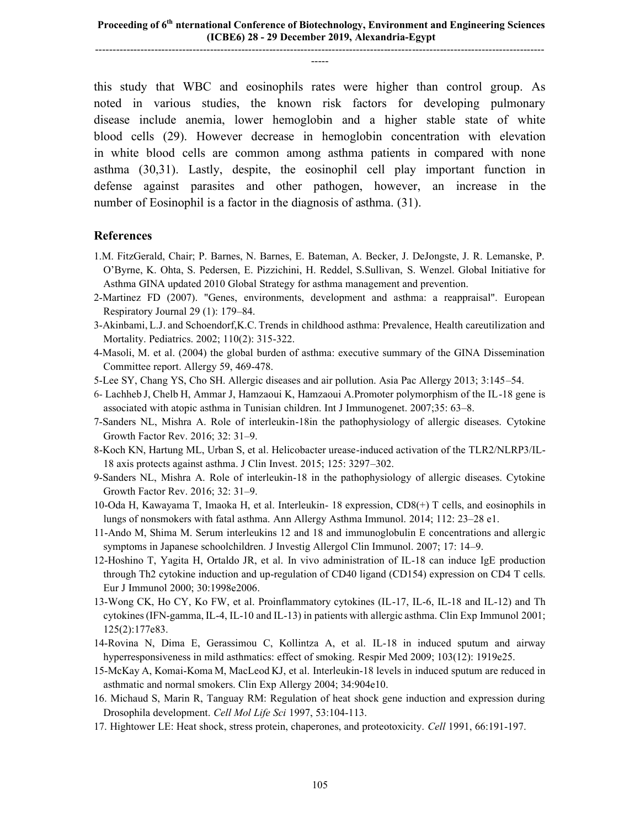this study that WBC and eosinophils rates were higher than control group. As noted in various studies, the known risk factors for developing pulmonary disease include anemia, lower hemoglobin and a higher stable state of white blood cells (29). However decrease in hemoglobin concentration with elevation in white blood cells are common among asthma patients in compared with none asthma (30,31). Lastly, despite, the eosinophil cell play important function in defense against parasites and other pathogen, however, an increase in the number of Eosinophil is a factor in the diagnosis of asthma. (31).

#### **References**

- 1.M. FitzGerald, Chair; P. Barnes, N. Barnes, E. Bateman, A. Becker, J. DeJongste, J. R. Lemanske, P. O'Byrne, K. Ohta, S. Pedersen, E. Pizzichini, H. Reddel, S.Sullivan, S. Wenzel. Global Initiative for Asthma GINA updated 2010 Global Strategy for asthma management and prevention.
- 2-Martinez FD (2007). "Genes, environments, development and asthma: a reappraisal". European Respiratory Journal 29 (1): 179–84.
- 3-Akinbami, L.J. and Schoendorf,K.C. Trends in childhood asthma: Prevalence, Health careutilization and Mortality. Pediatrics. 2002; 110(2): 315-322.
- 4-Masoli, M. et al. (2004) the global burden of asthma: executive summary of the GINA Dissemination Committee report. Allergy 59, 469-478.
- 5-Lee SY, Chang YS, Cho SH. Allergic diseases and air pollution. Asia Pac Allergy 2013; 3:145–54.
- 6- Lachheb J, Chelb H, Ammar J, Hamzaoui K, Hamzaoui A.Promoter polymorphism of the IL-18 gene is associated with atopic asthma in Tunisian children. Int J Immunogenet. 2007;35: 63–8.
- 7-Sanders NL, Mishra A. Role of interleukin-18in the pathophysiology of allergic diseases. Cytokine Growth Factor Rev. 2016; 32: 31–9.
- 8-Koch KN, Hartung ML, Urban S, et al. Helicobacter urease-induced activation of the TLR2/NLRP3/IL-18 axis protects against asthma. J Clin Invest. 2015; 125: 3297–302.
- 9-Sanders NL, Mishra A. Role of interleukin-18 in the pathophysiology of allergic diseases. Cytokine Growth Factor Rev. 2016; 32: 31–9.
- 10-Oda H, Kawayama T, Imaoka H, et al. Interleukin- 18 expression, CD8(+) T cells, and eosinophils in lungs of nonsmokers with fatal asthma. Ann Allergy Asthma Immunol. 2014; 112: 23–28 e1.
- 11-Ando M, Shima M. Serum interleukins 12 and 18 and immunoglobulin E concentrations and allergic symptoms in Japanese schoolchildren. J Investig Allergol Clin Immunol. 2007; 17: 14–9.
- 12-Hoshino T, Yagita H, Ortaldo JR, et al. In vivo administration of IL-18 can induce IgE production through Th2 cytokine induction and up-regulation of CD40 ligand (CD154) expression on CD4 T cells. Eur J Immunol 2000; 30:1998e2006.
- 13-Wong CK, Ho CY, Ko FW, et al. Proinflammatory cytokines (IL-17, IL-6, IL-18 and IL-12) and Th cytokines(IFN-gamma, IL-4, IL-10 and IL-13) in patients with allergic asthma. Clin Exp Immunol 2001; 125(2):177e83.
- 14-Rovina N, Dima E, Gerassimou C, Kollintza A, et al. IL-18 in induced sputum and airway hyperresponsiveness in mild asthmatics: effect of smoking. Respir Med 2009; 103(12): 1919e25.
- 15-McKay A, Komai-Koma M, MacLeod KJ, et al. Interleukin-18 levels in induced sputum are reduced in asthmatic and normal smokers. Clin Exp Allergy 2004; 34:904e10.
- 16. Michaud S, Marin R, Tanguay RM: Regulation of heat shock gene induction and expression during Drosophila development. *Cell Mol Life Sci* 1997, 53:104-113.
- 17. Hightower LE: Heat shock, stress protein, chaperones, and proteotoxicity. *Cell* 1991, 66:191-197.